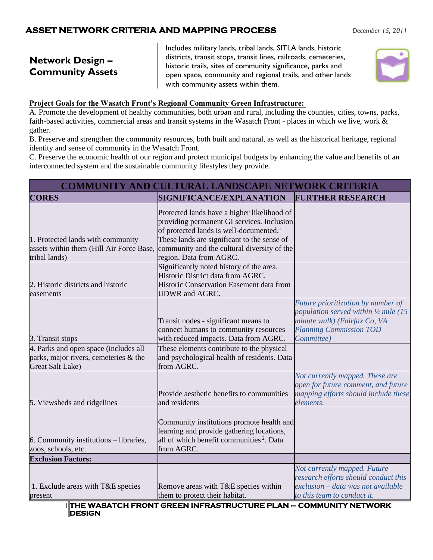## **ASSET NETWORK CRITERIA AND MAPPING PROCESS** *December 15, 2011*

# **Network Design – Community Assets**

Includes military lands, tribal lands, SITLA lands, historic districts, transit stops, transit lines, railroads, cemeteries, historic trails, sites of community significance, parks and open space, community and regional trails, and other lands with community assets within them.



#### **Project Goals for the Wasatch Front's Regional Community Green Infrastructure:**

A. Promote the development of healthy communities, both urban and rural, including the counties, cities, towns, parks, faith-based activities, commercial areas and transit systems in the Wasatch Front - places in which we live, work & gather.

B. Preserve and strengthen the community resources, both built and natural, as well as the historical heritage, regional identity and sense of community in the Wasatch Front.

C. Preserve the economic health of our region and protect municipal budgets by enhancing the value and benefits of an interconnected system and the sustainable community lifestyles they provide.

| <b>COMMUNITY AND CULTURAL LANDSCAPE NETWORK CRITERIA</b>                                                  |                                                                                                                                                                                                                                                                           |                                                                                                                                                             |  |
|-----------------------------------------------------------------------------------------------------------|---------------------------------------------------------------------------------------------------------------------------------------------------------------------------------------------------------------------------------------------------------------------------|-------------------------------------------------------------------------------------------------------------------------------------------------------------|--|
| <b>CORES</b>                                                                                              | SIGNIFICANCE/EXPLANATION                                                                                                                                                                                                                                                  | <b>FURTHER RESEARCH</b>                                                                                                                                     |  |
| 1. Protected lands with community<br>assets within them (Hill Air Force Base,<br>tribal lands)            | Protected lands have a higher likelihood of<br>providing permanent GI services. Inclusion<br>of protected lands is well-documented. <sup>1</sup><br>These lands are significant to the sense of<br>community and the cultural diversity of the<br>region. Data from AGRC. |                                                                                                                                                             |  |
| 2. Historic districts and historic<br>easements                                                           | Significantly noted history of the area.<br>Historic District data from AGRC.<br>Historic Conservation Easement data from<br><b>UDWR</b> and AGRC.                                                                                                                        |                                                                                                                                                             |  |
| 3. Transit stops                                                                                          | Transit nodes - significant means to<br>connect humans to community resources<br>with reduced impacts. Data from AGRC.                                                                                                                                                    | Future prioritization by number of<br>population served within 1/4 mile (15<br>minute walk) (Fairfax Co, VA<br><b>Planning Commission TOD</b><br>Committee) |  |
| 4. Parks and open space (includes all<br>parks, major rivers, cemeteries & the<br><b>Great Salt Lake)</b> | These elements contribute to the physical<br>and psychological health of residents. Data<br>from AGRC.                                                                                                                                                                    |                                                                                                                                                             |  |
| 5. Viewsheds and ridgelines                                                                               | Provide aesthetic benefits to communities<br>and residents                                                                                                                                                                                                                | Not currently mapped. These are<br>open for future comment, and future<br>mapping efforts should include these<br>elements.                                 |  |
| 6. Community institutions – libraries,<br>zoos, schools, etc.                                             | Community institutions promote health and<br>learning and provide gathering locations,<br>all of which benefit communities <sup>2</sup> . Data<br>from AGRC.                                                                                                              |                                                                                                                                                             |  |
| <b>Exclusion Factors:</b>                                                                                 |                                                                                                                                                                                                                                                                           |                                                                                                                                                             |  |
| 1. Exclude areas with T&E species<br>present                                                              | Remove areas with T&E species within<br>them to protect their habitat.                                                                                                                                                                                                    | Not currently mapped. Future<br>research efforts should conduct this<br>exclusion - data was not available<br>to this team to conduct it.                   |  |

1 **THE WASATCH FRONT GREEN INFRASTRUCTURE PLAN – COMMUNITY NETWORK DESIGN**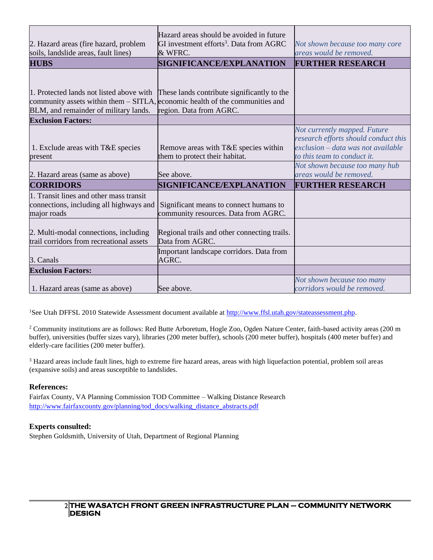| 2. Hazard areas (fire hazard, problem<br>soils, landslide areas, fault lines)                                                                        | Hazard areas should be avoided in future<br>GI investment efforts <sup>3</sup> . Data from AGRC<br>& WFRC.      | Not shown because too many core<br>areas would be removed.                                                                                  |
|------------------------------------------------------------------------------------------------------------------------------------------------------|-----------------------------------------------------------------------------------------------------------------|---------------------------------------------------------------------------------------------------------------------------------------------|
| <b>HUBS</b>                                                                                                                                          | SIGNIFICANCE/EXPLANATION                                                                                        | <b>FURTHER RESEARCH</b>                                                                                                                     |
| community assets within them $-$ SITLA, economic health of the communities and<br>BLM, and remainder of military lands.<br><b>Exclusion Factors:</b> | 1. Protected lands not listed above with These lands contribute significantly to the<br>region. Data from AGRC. |                                                                                                                                             |
|                                                                                                                                                      |                                                                                                                 | Not currently mapped. Future                                                                                                                |
| 1. Exclude areas with T&E species<br>present                                                                                                         | Remove areas with T&E species within<br>them to protect their habitat.                                          | research efforts should conduct this<br>exclusion – data was not available<br>to this team to conduct it.<br>Not shown because too many hub |
| 2. Hazard areas (same as above)                                                                                                                      | See above.                                                                                                      | areas would be removed.                                                                                                                     |
| <b>CORRIDORS</b>                                                                                                                                     | SIGNIFICANCE/EXPLANATION                                                                                        | <b>FURTHER RESEARCH</b>                                                                                                                     |
| 1. Transit lines and other mass transit<br>connections, including all highways and<br>major roads                                                    | Significant means to connect humans to<br>community resources. Data from AGRC.                                  |                                                                                                                                             |
| 2. Multi-modal connections, including<br>trail corridors from recreational assets                                                                    | Regional trails and other connecting trails.<br>Data from AGRC.                                                 |                                                                                                                                             |
| 3. Canals                                                                                                                                            | Important landscape corridors. Data from<br>AGRC.                                                               |                                                                                                                                             |
| <b>Exclusion Factors:</b>                                                                                                                            |                                                                                                                 |                                                                                                                                             |
| 1. Hazard areas (same as above)                                                                                                                      | See above.                                                                                                      | Not shown because too many<br>corridors would be removed.                                                                                   |

<sup>1</sup>See Utah DFFSL 2010 Statewide Assessment document available at [http://www.ffsl.utah.gov/stateassessment.php.](http://www.ffsl.utah.gov/stateassessment.php)

<sup>2</sup> Community institutions are as follows: Red Butte Arboretum, Hogle Zoo, Ogden Nature Center, faith-based activity areas (200 m buffer), universities (buffer sizes vary), libraries (200 meter buffer), schools (200 meter buffer), hospitals (400 meter buffer) and elderly-care facilities (200 meter buffer).

<sup>3</sup> Hazard areas include fault lines, high to extreme fire hazard areas, areas with high liquefaction potential, problem soil areas (expansive soils) and areas susceptible to landslides.

#### **References:**

Fairfax County, VA Planning Commission TOD Committee – Walking Distance Research [http://www.fairfaxcounty.gov/planning/tod\\_docs/walking\\_distance\\_abstracts.pdf](http://www.fairfaxcounty.gov/planning/tod_docs/walking_distance_abstracts.pdf)

#### **Experts consulted:**

Stephen Goldsmith, University of Utah, Department of Regional Planning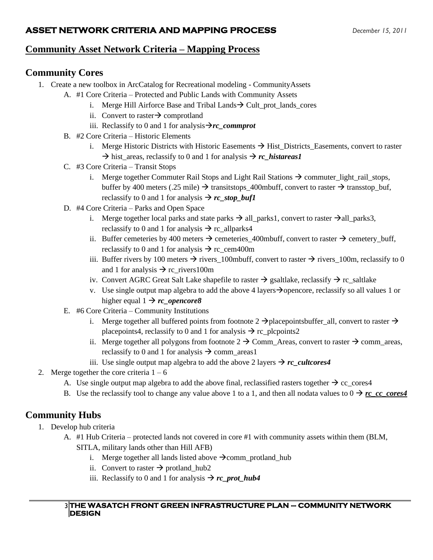## **ASSET NETWORK CRITERIA AND MAPPING PROCESS** *December 15, 2011*

## **Community Asset Network Criteria – Mapping Process**

## **Community Cores**

- 1. Create a new toolbox in ArcCatalog for Recreational modeling CommunityAssets
	- A. #1 Core Criteria Protected and Public Lands with Community Assets
		- i. Merge Hill Airforce Base and Tribal Lands  $\rightarrow$  Cult\_prot\_lands\_cores
		- ii. Convert to raster  $\rightarrow$  comprotland
		- iii. Reclassify to 0 and 1 for analysis $\rightarrow$ *rc* commprot
	- B. #2 Core Criteria Historic Elements
		- i. Merge Historic Districts with Historic Easements  $\rightarrow$  Hist\_Districts\_Easements, convert to raster  $\rightarrow$  hist areas, reclassify to 0 and 1 for analysis  $\rightarrow$  *rc* histareas1
	- C. #3 Core Criteria Transit Stops
		- i. Merge together Commuter Rail Stops and Light Rail Stations  $\rightarrow$  commuter\_light\_rail\_stops, buffer by 400 meters (.25 mile)  $\rightarrow$  transitstops 400mbuff, convert to raster  $\rightarrow$  transstop buf, reclassify to 0 and 1 for analysis  $\rightarrow$  *rc\_stop\_buf1*
	- D. #4 Core Criteria Parks and Open Space
		- i. Merge together local parks and state parks  $\rightarrow$  all\_parks1, convert to raster  $\rightarrow$  all\_parks3, reclassify to 0 and 1 for analysis  $\rightarrow$  rc\_allparks4
		- ii. Buffer cemeteries by 400 meters  $\rightarrow$  cemeteries\_400mbuff, convert to raster  $\rightarrow$  cemetery\_buff, reclassify to 0 and 1 for analysis  $\rightarrow$  rc cem400m
		- iii. Buffer rivers by 100 meters  $\rightarrow$  rivers\_100mbuff, convert to raster  $\rightarrow$  rivers\_100m, reclassify to 0 and 1 for analysis  $\rightarrow$  rc\_rivers100m
		- iv. Convert AGRC Great Salt Lake shapefile to raster  $\rightarrow$  gsaltlake, reclassify  $\rightarrow$  rc\_saltlake
		- v. Use single output map algebra to add the above 4 layers→opencore, reclassify so all values 1 or higher equal  $1 \rightarrow rc$  *opencore8*
	- E. #6 Core Criteria Community Institutions
		- i. Merge together all buffered points from footnote  $2 \rightarrow$  placepointsbuffer\_all, convert to raster  $\rightarrow$ placepoints4, reclassify to 0 and 1 for analysis  $\rightarrow$  rc plcpoints2
		- ii. Merge together all polygons from footnote  $2 \rightarrow$  Comm\_Areas, convert to raster  $\rightarrow$  comm\_areas, reclassify to 0 and 1 for analysis  $\rightarrow$  comm\_areas1
		- iii. Use single output map algebra to add the above 2 layers  $\rightarrow$  *rc* cultcores4
- 2. Merge together the core criteria  $1 6$ 
	- A. Use single output map algebra to add the above final, reclassified rasters together  $\rightarrow$  cc\_cores4
	- B. Use the reclassify tool to change any value above 1 to a 1, and then all nodata values to  $0 \rightarrow rc\_cc\_cores4$

# **Community Hubs**

- 1. Develop hub criteria
	- A. #1 Hub Criteria protected lands not covered in core #1 with community assets within them (BLM, SITLA, military lands other than Hill AFB)
		- i. Merge together all lands listed above  $\rightarrow$ comm\_protland\_hub
		- ii. Convert to raster  $\rightarrow$  protland hub2
		- iii. Reclassify to 0 and 1 for analysis  $\rightarrow$  *rc\_prot\_hub4*